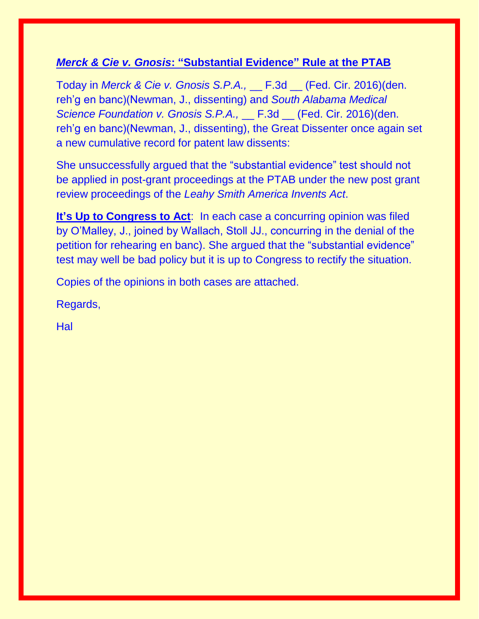## *Merck & Cie v. Gnosis***: "Substantial Evidence" Rule at the PTAB**

Today in *Merck & Cie v. Gnosis S.P.A.,* \_\_ F.3d \_\_ (Fed. Cir. 2016)(den. reh'g en banc)(Newman, J., dissenting) and *South Alabama Medical Science Foundation v. Gnosis S.P.A.,* \_\_ F.3d \_\_ (Fed. Cir. 2016)(den. reh'g en banc)(Newman, J., dissenting), the Great Dissenter once again set a new cumulative record for patent law dissents:

She unsuccessfully argued that the "substantial evidence" test should not be applied in post-grant proceedings at the PTAB under the new post grant review proceedings of the *Leahy Smith America Invents Act*.

**It's Up to Congress to Act:** In each case a concurring opinion was filed by O'Malley, J., joined by Wallach, Stoll JJ., concurring in the denial of the petition for rehearing en banc). She argued that the "substantial evidence" test may well be bad policy but it is up to Congress to rectify the situation.

Copies of the opinions in both cases are attached.

Regards,

Hal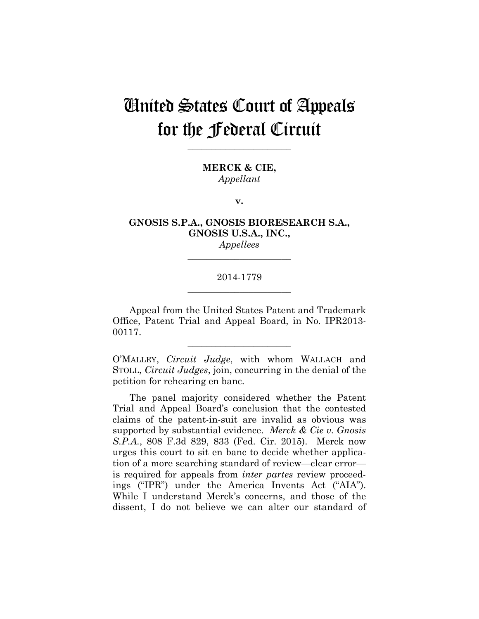**\_\_\_\_\_\_\_\_\_\_\_\_\_\_\_\_\_\_\_\_\_\_** 

**MERCK & CIE,** *Appellant*

**v.**

### **GNOSIS S.P.A., GNOSIS BIORESEARCH S.A., GNOSIS U.S.A., INC.,**

*Appellees* **\_\_\_\_\_\_\_\_\_\_\_\_\_\_\_\_\_\_\_\_\_\_** 

#### 2014-1779 **\_\_\_\_\_\_\_\_\_\_\_\_\_\_\_\_\_\_\_\_\_\_**

Appeal from the United States Patent and Trademark Office, Patent Trial and Appeal Board, in No. IPR2013- 00117.

**\_\_\_\_\_\_\_\_\_\_\_\_\_\_\_\_\_\_\_\_\_\_** 

O'MALLEY, *Circuit Judge*, with whom WALLACH and STOLL, *Circuit Judges*, join, concurring in the denial of the petition for rehearing en banc.

The panel majority considered whether the Patent Trial and Appeal Board's conclusion that the contested claims of the patent-in-suit are invalid as obvious was supported by substantial evidence. *Merck & Cie v. Gnosis S.P.A.*, 808 F.3d 829, 833 (Fed. Cir. 2015). Merck now urges this court to sit en banc to decide whether application of a more searching standard of review—clear error is required for appeals from *inter partes* review proceedings ("IPR") under the America Invents Act ("AIA"). While I understand Merck's concerns, and those of the dissent, I do not believe we can alter our standard of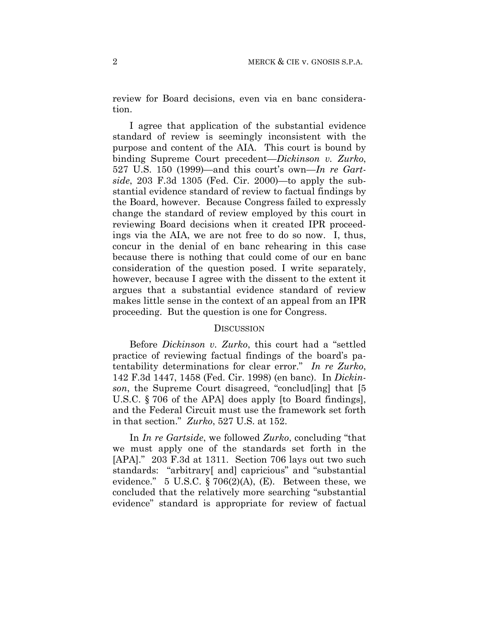review for Board decisions, even via en banc consideration.

I agree that application of the substantial evidence standard of review is seemingly inconsistent with the purpose and content of the AIA. This court is bound by binding Supreme Court precedent—*Dickinson v. Zurko*, 527 U.S. 150 (1999)—and this court's own—*In re Gartside*, 203 F.3d 1305 (Fed. Cir. 2000)—to apply the substantial evidence standard of review to factual findings by the Board, however. Because Congress failed to expressly change the standard of review employed by this court in reviewing Board decisions when it created IPR proceedings via the AIA, we are not free to do so now. I, thus, concur in the denial of en banc rehearing in this case because there is nothing that could come of our en banc consideration of the question posed. I write separately, however, because I agree with the dissent to the extent it argues that a substantial evidence standard of review makes little sense in the context of an appeal from an IPR proceeding. But the question is one for Congress.

#### **DISCUSSION**

Before *Dickinson v. Zurko*, this court had a "settled practice of reviewing factual findings of the board's patentability determinations for clear error." *In re Zurko*, 142 F.3d 1447, 1458 (Fed. Cir. 1998) (en banc). In *Dickinson*, the Supreme Court disagreed, "conclud[ing] that [5 U.S.C. § 706 of the APA] does apply [to Board findings], and the Federal Circuit must use the framework set forth in that section." *Zurko*, 527 U.S. at 152.

In *In re Gartside*, we followed *Zurko*, concluding "that we must apply one of the standards set forth in the [APA]." 203 F.3d at 1311. Section 706 lays out two such standards: "arbitrary[ and] capricious" and "substantial evidence." 5 U.S.C.  $\S 706(2)(A)$ , (E). Between these, we concluded that the relatively more searching "substantial evidence" standard is appropriate for review of factual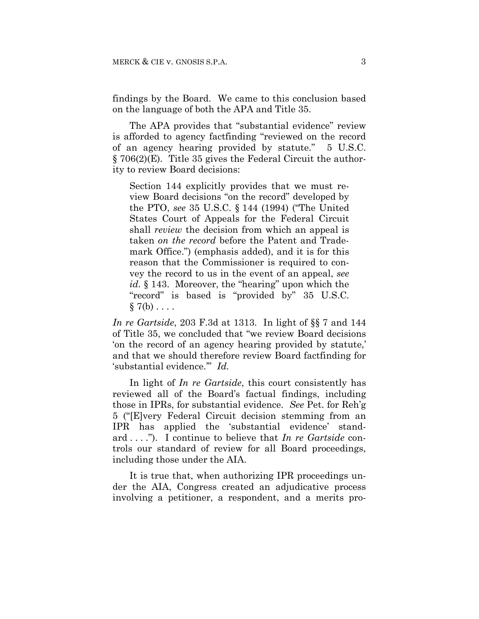findings by the Board. We came to this conclusion based on the language of both the APA and Title 35.

The APA provides that "substantial evidence" review is afforded to agency factfinding "reviewed on the record of an agency hearing provided by statute." 5 U.S.C. § 706(2)(E). Title 35 gives the Federal Circuit the authority to review Board decisions:

Section 144 explicitly provides that we must review Board decisions "on the record" developed by the PTO, *see* 35 U.S.C. § 144 (1994) ("The United States Court of Appeals for the Federal Circuit shall *review* the decision from which an appeal is taken *on the record* before the Patent and Trademark Office.") (emphasis added), and it is for this reason that the Commissioner is required to convey the record to us in the event of an appeal, *see*  id. § 143. Moreover, the "hearing" upon which the "record" is based is "provided by" 35 U.S.C.  $\S 7(b) \ldots$ 

*In re Gartside*, 203 F.3d at 1313. In light of §§ 7 and 144 of Title 35, we concluded that "we review Board decisions 'on the record of an agency hearing provided by statute,' and that we should therefore review Board factfinding for 'substantial evidence.'" *Id.*

In light of *In re Gartside*, this court consistently has reviewed all of the Board's factual findings, including those in IPRs, for substantial evidence. *See* Pet. for Reh'g 5 ("[E]very Federal Circuit decision stemming from an IPR has applied the 'substantial evidence' standard . . . ."). I continue to believe that *In re Gartside* controls our standard of review for all Board proceedings, including those under the AIA.

It is true that, when authorizing IPR proceedings under the AIA, Congress created an adjudicative process involving a petitioner, a respondent, and a merits pro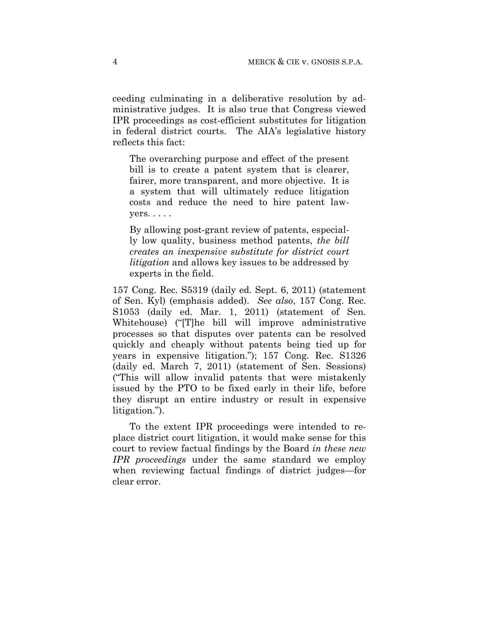ceeding culminating in a deliberative resolution by administrative judges. It is also true that Congress viewed IPR proceedings as cost-efficient substitutes for litigation in federal district courts. The AIA's legislative history reflects this fact:

The overarching purpose and effect of the present bill is to create a patent system that is clearer, fairer, more transparent, and more objective. It is a system that will ultimately reduce litigation costs and reduce the need to hire patent lawyers. . . . .

By allowing post-grant review of patents, especially low quality, business method patents, *the bill creates an inexpensive substitute for district court litigation* and allows key issues to be addressed by experts in the field.

157 Cong. Rec. S5319 (daily ed. Sept. 6, 2011) (statement of Sen. Kyl) (emphasis added). *See also*, 157 Cong. Rec. S1053 (daily ed. Mar. 1, 2011) (statement of Sen. Whitehouse) ("[T]he bill will improve administrative processes so that disputes over patents can be resolved quickly and cheaply without patents being tied up for years in expensive litigation."); 157 Cong. Rec. S1326 (daily ed. March 7, 2011) (statement of Sen. Sessions) ("This will allow invalid patents that were mistakenly issued by the PTO to be fixed early in their life, before they disrupt an entire industry or result in expensive litigation.").

To the extent IPR proceedings were intended to replace district court litigation, it would make sense for this court to review factual findings by the Board *in these new IPR proceedings* under the same standard we employ when reviewing factual findings of district judges—for clear error.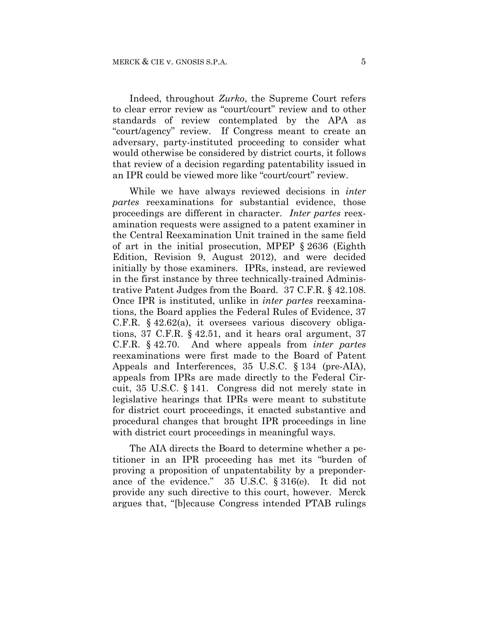Indeed, throughout *Zurko*, the Supreme Court refers to clear error review as "court/court" review and to other standards of review contemplated by the APA as "court/agency" review. If Congress meant to create an adversary, party-instituted proceeding to consider what would otherwise be considered by district courts, it follows that review of a decision regarding patentability issued in an IPR could be viewed more like "court/court" review.

While we have always reviewed decisions in *inter partes* reexaminations for substantial evidence, those proceedings are different in character. *Inter partes* reexamination requests were assigned to a patent examiner in the Central Reexamination Unit trained in the same field of art in the initial prosecution, MPEP § 2636 (Eighth Edition, Revision 9, August 2012), and were decided initially by those examiners. IPRs, instead, are reviewed in the first instance by three technically-trained Administrative Patent Judges from the Board. 37 C.F.R. § 42.108. Once IPR is instituted, unlike in *inter partes* reexaminations, the Board applies the Federal Rules of Evidence, 37 C.F.R. § 42.62(a), it oversees various discovery obligations, 37 C.F.R. § 42.51, and it hears oral argument, 37 C.F.R. § 42.70. And where appeals from *inter partes*  reexaminations were first made to the Board of Patent Appeals and Interferences, 35 U.S.C. § 134 (pre-AIA), appeals from IPRs are made directly to the Federal Circuit, 35 U.S.C. § 141. Congress did not merely state in legislative hearings that IPRs were meant to substitute for district court proceedings, it enacted substantive and procedural changes that brought IPR proceedings in line with district court proceedings in meaningful ways.

The AIA directs the Board to determine whether a petitioner in an IPR proceeding has met its "burden of proving a proposition of unpatentability by a preponderance of the evidence." 35 U.S.C. § 316(e). It did not provide any such directive to this court, however. Merck argues that, "[b]ecause Congress intended PTAB rulings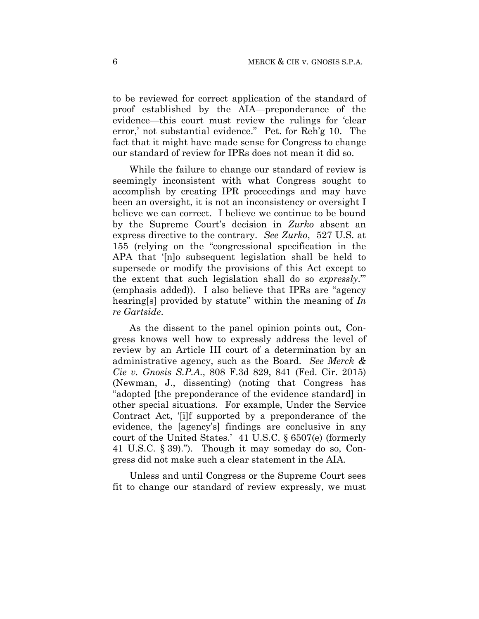to be reviewed for correct application of the standard of proof established by the AIA—preponderance of the evidence—this court must review the rulings for 'clear error,' not substantial evidence." Pet. for Reh'g 10. The fact that it might have made sense for Congress to change our standard of review for IPRs does not mean it did so.

While the failure to change our standard of review is seemingly inconsistent with what Congress sought to accomplish by creating IPR proceedings and may have been an oversight, it is not an inconsistency or oversight I believe we can correct. I believe we continue to be bound by the Supreme Court's decision in *Zurko* absent an express directive to the contrary. *See Zurko*, 527 U.S. at 155 (relying on the "congressional specification in the APA that '[n]o subsequent legislation shall be held to supersede or modify the provisions of this Act except to the extent that such legislation shall do so *expressly*.'" (emphasis added)). I also believe that IPRs are "agency hearing[s] provided by statute" within the meaning of *In re Gartside*.

As the dissent to the panel opinion points out, Congress knows well how to expressly address the level of review by an Article III court of a determination by an administrative agency, such as the Board. *See Merck & Cie v. Gnosis S.P.A.*, 808 F.3d 829, 841 (Fed. Cir. 2015) (Newman, J., dissenting) (noting that Congress has "adopted [the preponderance of the evidence standard] in other special situations. For example, Under the Service Contract Act, '[i]f supported by a preponderance of the evidence, the [agency's] findings are conclusive in any court of the United States.' 41 U.S.C. § 6507(e) (formerly 41 U.S.C. § 39)."). Though it may someday do so, Congress did not make such a clear statement in the AIA.

Unless and until Congress or the Supreme Court sees fit to change our standard of review expressly, we must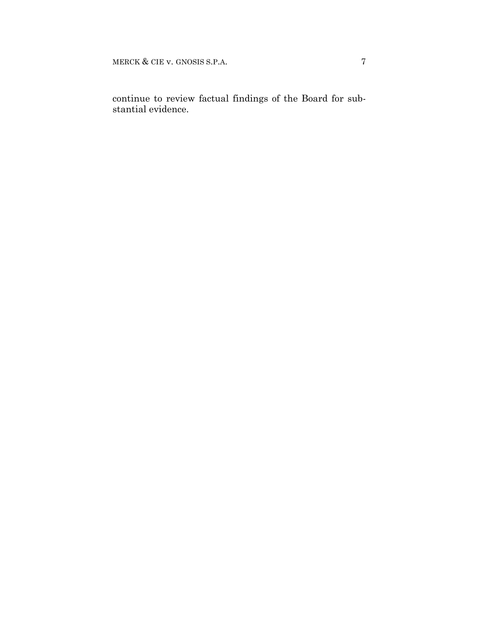MERCK & CIE v. GNOSIS S.P.A. 7

continue to review factual findings of the Board for substantial evidence.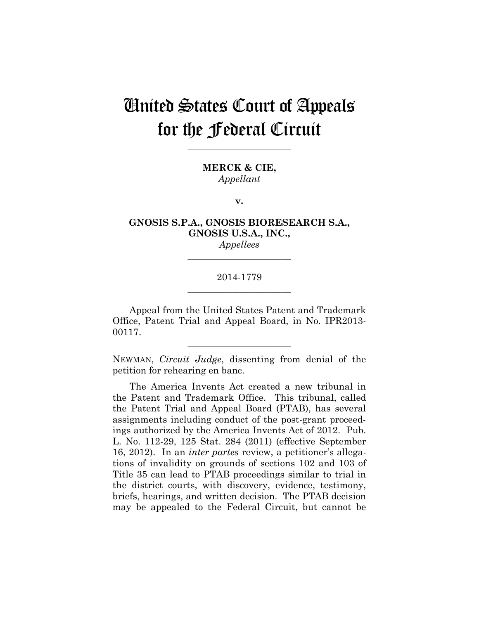**\_\_\_\_\_\_\_\_\_\_\_\_\_\_\_\_\_\_\_\_\_\_** 

**MERCK & CIE,** *Appellant*

**v.**

### **GNOSIS S.P.A., GNOSIS BIORESEARCH S.A., GNOSIS U.S.A., INC.,**

*Appellees* **\_\_\_\_\_\_\_\_\_\_\_\_\_\_\_\_\_\_\_\_\_\_** 

#### 2014-1779 **\_\_\_\_\_\_\_\_\_\_\_\_\_\_\_\_\_\_\_\_\_\_**

Appeal from the United States Patent and Trademark Office, Patent Trial and Appeal Board, in No. IPR2013- 00117.

NEWMAN, *Circuit Judge*, dissenting from denial of the petition for rehearing en banc.

**\_\_\_\_\_\_\_\_\_\_\_\_\_\_\_\_\_\_\_\_\_\_** 

The America Invents Act created a new tribunal in the Patent and Trademark Office. This tribunal, called the Patent Trial and Appeal Board (PTAB), has several assignments including conduct of the post-grant proceedings authorized by the America Invents Act of 2012. Pub. L. No. 112-29, 125 Stat. 284 (2011) (effective September 16, 2012). In an *inter partes* review, a petitioner's allegations of invalidity on grounds of sections 102 and 103 of Title 35 can lead to PTAB proceedings similar to trial in the district courts, with discovery, evidence, testimony, briefs, hearings, and written decision. The PTAB decision may be appealed to the Federal Circuit, but cannot be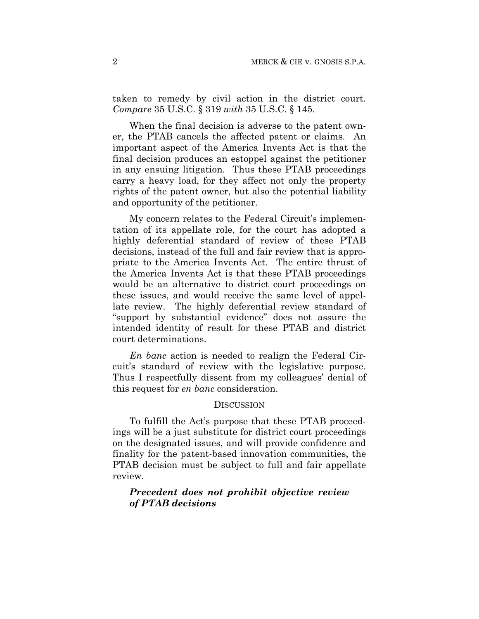taken to remedy by civil action in the district court. *Compare* 35 U.S.C. § 319 *with* 35 U.S.C. § 145.

When the final decision is adverse to the patent owner, the PTAB cancels the affected patent or claims. An important aspect of the America Invents Act is that the final decision produces an estoppel against the petitioner in any ensuing litigation. Thus these PTAB proceedings carry a heavy load, for they affect not only the property rights of the patent owner, but also the potential liability and opportunity of the petitioner.

My concern relates to the Federal Circuit's implementation of its appellate role, for the court has adopted a highly deferential standard of review of these PTAB decisions, instead of the full and fair review that is appropriate to the America Invents Act. The entire thrust of the America Invents Act is that these PTAB proceedings would be an alternative to district court proceedings on these issues, and would receive the same level of appellate review. The highly deferential review standard of "support by substantial evidence" does not assure the intended identity of result for these PTAB and district court determinations.

*En banc* action is needed to realign the Federal Circuit's standard of review with the legislative purpose. Thus I respectfully dissent from my colleagues' denial of this request for *en banc* consideration.

#### **DISCUSSION**

To fulfill the Act's purpose that these PTAB proceedings will be a just substitute for district court proceedings on the designated issues, and will provide confidence and finality for the patent-based innovation communities, the PTAB decision must be subject to full and fair appellate review.

### *Precedent does not prohibit objective review of PTAB decisions*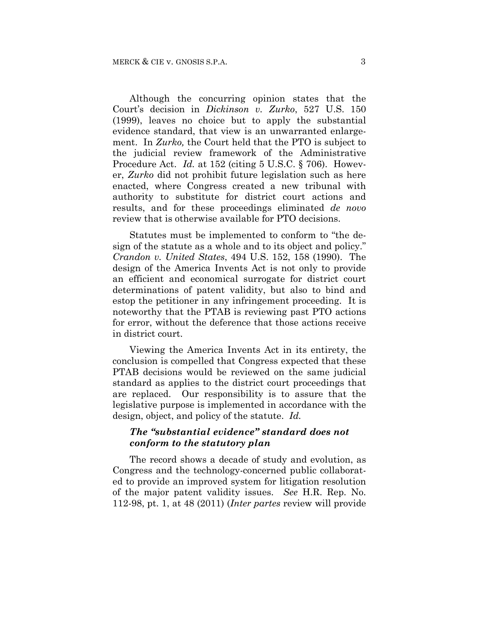Although the concurring opinion states that the Court's decision in *Dickinson v. Zurko*, 527 U.S. 150 (1999), leaves no choice but to apply the substantial evidence standard, that view is an unwarranted enlargement. In *Zurko,* the Court held that the PTO is subject to the judicial review framework of the Administrative Procedure Act. *Id.* at 152 (citing 5 U.S.C. § 706). However, *Zurko* did not prohibit future legislation such as here enacted, where Congress created a new tribunal with authority to substitute for district court actions and results, and for these proceedings eliminated *de novo* review that is otherwise available for PTO decisions.

Statutes must be implemented to conform to "the design of the statute as a whole and to its object and policy." *Crandon v. United States*, 494 U.S. 152, 158 (1990). The design of the America Invents Act is not only to provide an efficient and economical surrogate for district court determinations of patent validity, but also to bind and estop the petitioner in any infringement proceeding. It is noteworthy that the PTAB is reviewing past PTO actions for error, without the deference that those actions receive in district court.

Viewing the America Invents Act in its entirety, the conclusion is compelled that Congress expected that these PTAB decisions would be reviewed on the same judicial standard as applies to the district court proceedings that are replaced. Our responsibility is to assure that the legislative purpose is implemented in accordance with the design, object, and policy of the statute. *Id.*

### *The "substantial evidence" standard does not conform to the statutory plan*

The record shows a decade of study and evolution, as Congress and the technology-concerned public collaborated to provide an improved system for litigation resolution of the major patent validity issues. *See* H.R. Rep. No. 112-98, pt. 1, at 48 (2011) (*Inter partes* review will provide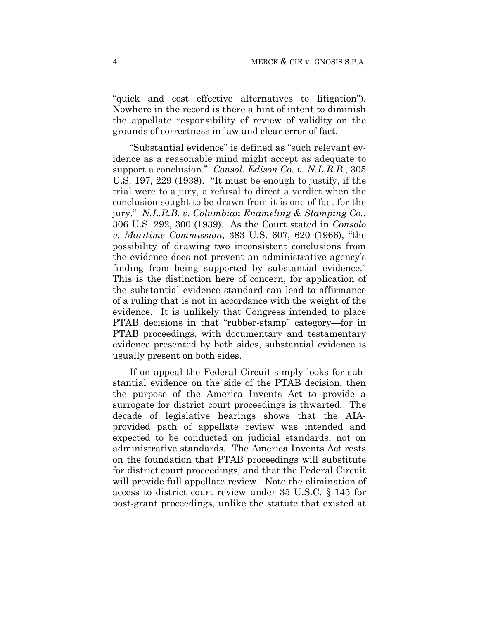"quick and cost effective alternatives to litigation"). Nowhere in the record is there a hint of intent to diminish the appellate responsibility of review of validity on the grounds of correctness in law and clear error of fact.

"Substantial evidence" is defined as "such relevant evidence as a reasonable mind might accept as adequate to support a conclusion." *Consol. Edison Co. v. N.L.R.B.*, 305 U.S. 197, 229 (1938). "It must be enough to justify, if the trial were to a jury, a refusal to direct a verdict when the conclusion sought to be drawn from it is one of fact for the jury." *N.L.R.B. v. Columbian Enameling & Stamping Co.*, 306 U.S. 292, 300 (1939). As the Court stated in *Consolo v. Maritime Commission*, 383 U.S. 607, 620 (1966), "the possibility of drawing two inconsistent conclusions from the evidence does not prevent an administrative agency's finding from being supported by substantial evidence." This is the distinction here of concern, for application of the substantial evidence standard can lead to affirmance of a ruling that is not in accordance with the weight of the evidence. It is unlikely that Congress intended to place PTAB decisions in that "rubber-stamp" category—for in PTAB proceedings, with documentary and testamentary evidence presented by both sides, substantial evidence is usually present on both sides.

If on appeal the Federal Circuit simply looks for substantial evidence on the side of the PTAB decision, then the purpose of the America Invents Act to provide a surrogate for district court proceedings is thwarted. The decade of legislative hearings shows that the AIAprovided path of appellate review was intended and expected to be conducted on judicial standards, not on administrative standards. The America Invents Act rests on the foundation that PTAB proceedings will substitute for district court proceedings, and that the Federal Circuit will provide full appellate review. Note the elimination of access to district court review under 35 U.S.C. § 145 for post-grant proceedings, unlike the statute that existed at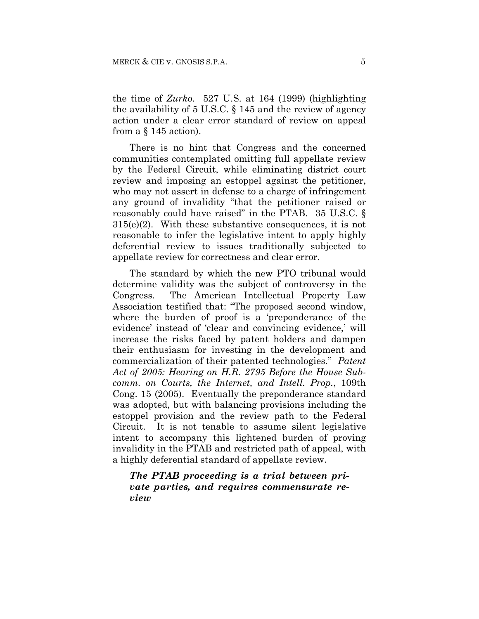the time of *Zurko.* 527 U.S. at 164 (1999) (highlighting the availability of 5 U.S.C. § 145 and the review of agency action under a clear error standard of review on appeal from a  $\S$  145 action).

There is no hint that Congress and the concerned communities contemplated omitting full appellate review by the Federal Circuit, while eliminating district court review and imposing an estoppel against the petitioner, who may not assert in defense to a charge of infringement any ground of invalidity "that the petitioner raised or reasonably could have raised" in the PTAB. 35 U.S.C. § 315(e)(2). With these substantive consequences, it is not reasonable to infer the legislative intent to apply highly deferential review to issues traditionally subjected to appellate review for correctness and clear error.

The standard by which the new PTO tribunal would determine validity was the subject of controversy in the Congress. The American Intellectual Property Law Association testified that: "The proposed second window, where the burden of proof is a 'preponderance of the evidence' instead of 'clear and convincing evidence,' will increase the risks faced by patent holders and dampen their enthusiasm for investing in the development and commercialization of their patented technologies." *Patent Act of 2005: Hearing on H.R. 2795 Before the House Subcomm. on Courts, the Internet, and Intell. Prop.*, 109th Cong. 15 (2005). Eventually the preponderance standard was adopted, but with balancing provisions including the estoppel provision and the review path to the Federal Circuit. It is not tenable to assume silent legislative intent to accompany this lightened burden of proving invalidity in the PTAB and restricted path of appeal, with a highly deferential standard of appellate review.

*The PTAB proceeding is a trial between private parties, and requires commensurate review*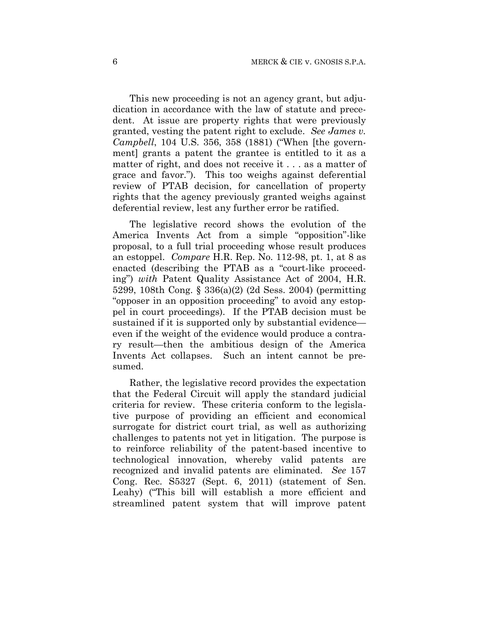This new proceeding is not an agency grant, but adjudication in accordance with the law of statute and precedent. At issue are property rights that were previously granted, vesting the patent right to exclude. *See James v. Campbell*, 104 U.S. 356, 358 (1881) ("When [the government] grants a patent the grantee is entitled to it as a matter of right, and does not receive it . . . as a matter of grace and favor."). This too weighs against deferential review of PTAB decision, for cancellation of property rights that the agency previously granted weighs against deferential review, lest any further error be ratified.

The legislative record shows the evolution of the America Invents Act from a simple "opposition"-like proposal, to a full trial proceeding whose result produces an estoppel. *Compare* H.R. Rep. No. 112-98, pt. 1, at 8 as enacted (describing the PTAB as a "court-like proceeding") *with* Patent Quality Assistance Act of 2004, H.R. 5299, 108th Cong. § 336(a)(2) (2d Sess. 2004) (permitting "opposer in an opposition proceeding" to avoid any estoppel in court proceedings). If the PTAB decision must be sustained if it is supported only by substantial evidence even if the weight of the evidence would produce a contrary result—then the ambitious design of the America Invents Act collapses. Such an intent cannot be presumed.

Rather, the legislative record provides the expectation that the Federal Circuit will apply the standard judicial criteria for review. These criteria conform to the legislative purpose of providing an efficient and economical surrogate for district court trial, as well as authorizing challenges to patents not yet in litigation. The purpose is to reinforce reliability of the patent-based incentive to technological innovation, whereby valid patents are recognized and invalid patents are eliminated. *See* 157 Cong. Rec. S5327 (Sept. 6, 2011) (statement of Sen. Leahy) ("This bill will establish a more efficient and streamlined patent system that will improve patent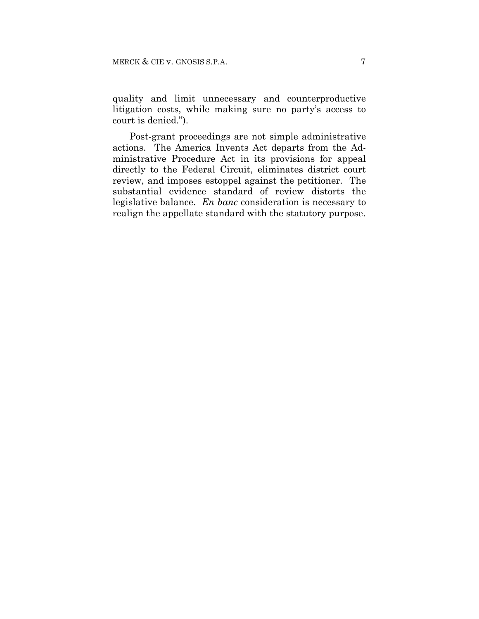quality and limit unnecessary and counterproductive litigation costs, while making sure no party's access to court is denied.").

Post-grant proceedings are not simple administrative actions. The America Invents Act departs from the Administrative Procedure Act in its provisions for appeal directly to the Federal Circuit, eliminates district court review, and imposes estoppel against the petitioner. The substantial evidence standard of review distorts the legislative balance. *En banc* consideration is necessary to realign the appellate standard with the statutory purpose.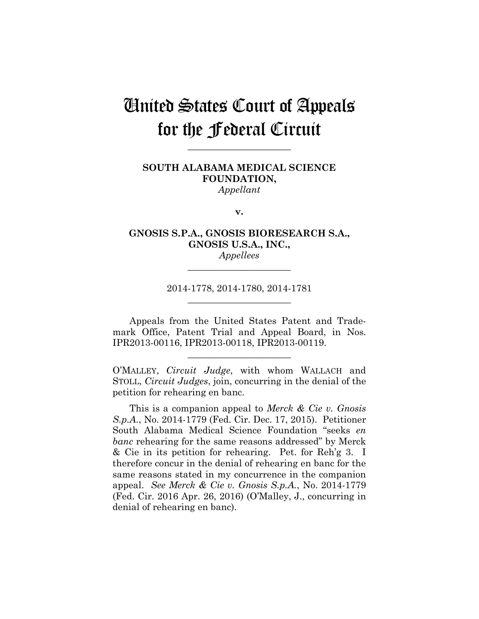**\_\_\_\_\_\_\_\_\_\_\_\_\_\_\_\_\_\_\_\_\_\_** 

### **SOUTH ALABAMA MEDICAL SCIENCE FOUNDATION,** *Appellant*

**v.**

#### **GNOSIS S.P.A., GNOSIS BIORESEARCH S.A., GNOSIS U.S.A., INC.,** *Appellees*

**\_\_\_\_\_\_\_\_\_\_\_\_\_\_\_\_\_\_\_\_\_\_** 

2014-1778, 2014-1780, 2014-1781 **\_\_\_\_\_\_\_\_\_\_\_\_\_\_\_\_\_\_\_\_\_\_** 

Appeals from the United States Patent and Trademark Office, Patent Trial and Appeal Board, in Nos. IPR2013-00116, IPR2013-00118, IPR2013-00119.

**\_\_\_\_\_\_\_\_\_\_\_\_\_\_\_\_\_\_\_\_\_\_** 

O'MALLEY, *Circuit Judge*, with whom WALLACH and STOLL, *Circuit Judges*, join, concurring in the denial of the petition for rehearing en banc.

This is a companion appeal to *Merck & Cie v. Gnosis S.p.A.*, No. 2014-1779 (Fed. Cir. Dec. 17, 2015). Petitioner South Alabama Medical Science Foundation "seeks *en banc* rehearing for the same reasons addressed" by Merck & Cie in its petition for rehearing. Pet. for Reh'g 3. I therefore concur in the denial of rehearing en banc for the same reasons stated in my concurrence in the companion appeal. *See Merck & Cie v. Gnosis S.p.A.*, No. 2014-1779 (Fed. Cir. 2016 Apr. 26, 2016) (O'Malley, J., concurring in denial of rehearing en banc).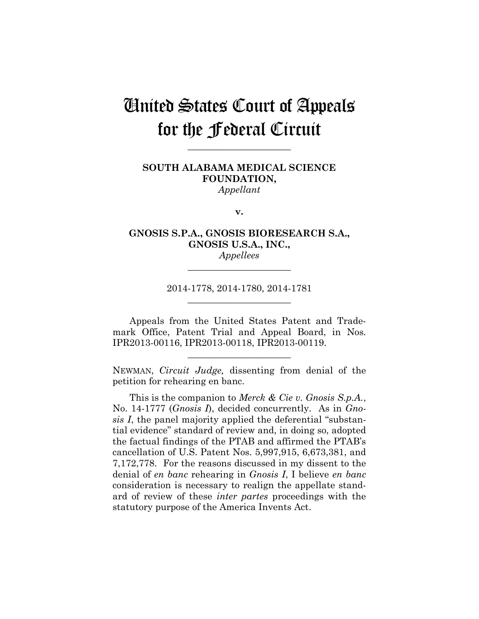**\_\_\_\_\_\_\_\_\_\_\_\_\_\_\_\_\_\_\_\_\_\_** 

### **SOUTH ALABAMA MEDICAL SCIENCE FOUNDATION,** *Appellant*

**v.**

### **GNOSIS S.P.A., GNOSIS BIORESEARCH S.A., GNOSIS U.S.A., INC.,** *Appellees*

**\_\_\_\_\_\_\_\_\_\_\_\_\_\_\_\_\_\_\_\_\_\_** 

2014-1778, 2014-1780, 2014-1781 **\_\_\_\_\_\_\_\_\_\_\_\_\_\_\_\_\_\_\_\_\_\_** 

Appeals from the United States Patent and Trademark Office, Patent Trial and Appeal Board, in Nos. IPR2013-00116, IPR2013-00118, IPR2013-00119.

NEWMAN, *Circuit Judge,* dissenting from denial of the petition for rehearing en banc.

**\_\_\_\_\_\_\_\_\_\_\_\_\_\_\_\_\_\_\_\_\_\_** 

This is the companion to *Merck & Cie v. Gnosis S.p.A.*, No. 14-1777 (*Gnosis I*), decided concurrently. As in *Gnosis I*, the panel majority applied the deferential "substantial evidence" standard of review and, in doing so, adopted the factual findings of the PTAB and affirmed the PTAB's cancellation of U.S. Patent Nos. 5,997,915, 6,673,381, and 7,172,778. For the reasons discussed in my dissent to the denial of *en banc* rehearing in *Gnosis I*, I believe *en banc*  consideration is necessary to realign the appellate standard of review of these *inter partes* proceedings with the statutory purpose of the America Invents Act.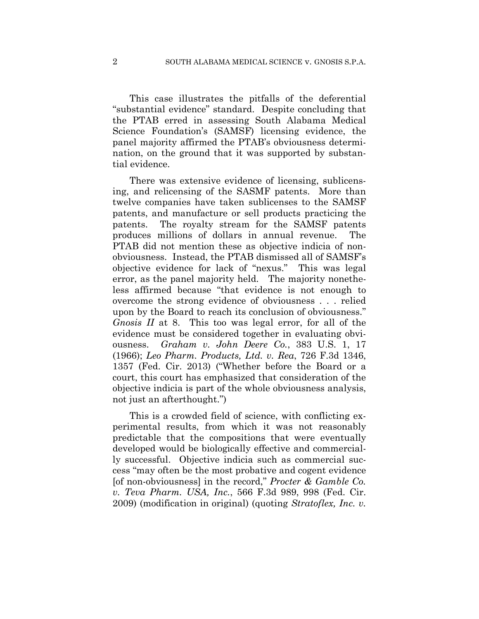This case illustrates the pitfalls of the deferential "substantial evidence" standard. Despite concluding that the PTAB erred in assessing South Alabama Medical Science Foundation's (SAMSF) licensing evidence, the panel majority affirmed the PTAB's obviousness determination, on the ground that it was supported by substantial evidence.

There was extensive evidence of licensing, sublicensing, and relicensing of the SASMF patents. More than twelve companies have taken sublicenses to the SAMSF patents, and manufacture or sell products practicing the patents. The royalty stream for the SAMSF patents produces millions of dollars in annual revenue. The PTAB did not mention these as objective indicia of nonobviousness. Instead, the PTAB dismissed all of SAMSF's objective evidence for lack of "nexus." This was legal error, as the panel majority held. The majority nonetheless affirmed because "that evidence is not enough to overcome the strong evidence of obviousness . . . relied upon by the Board to reach its conclusion of obviousness." *Gnosis II* at 8. This too was legal error, for all of the evidence must be considered together in evaluating obviousness. *Graham v. John Deere Co.*, 383 U.S. 1, 17 (1966); *Leo Pharm. Products, Ltd. v. Rea*, 726 F.3d 1346, 1357 (Fed. Cir. 2013) ("Whether before the Board or a court, this court has emphasized that consideration of the objective indicia is part of the whole obviousness analysis, not just an afterthought.")

This is a crowded field of science, with conflicting experimental results, from which it was not reasonably predictable that the compositions that were eventually developed would be biologically effective and commercially successful. Objective indicia such as commercial success "may often be the most probative and cogent evidence [of non-obviousness] in the record," *Procter & Gamble Co. v. Teva Pharm. USA, Inc.*, 566 F.3d 989, 998 (Fed. Cir. 2009) (modification in original) (quoting *Stratoflex, Inc. v.*